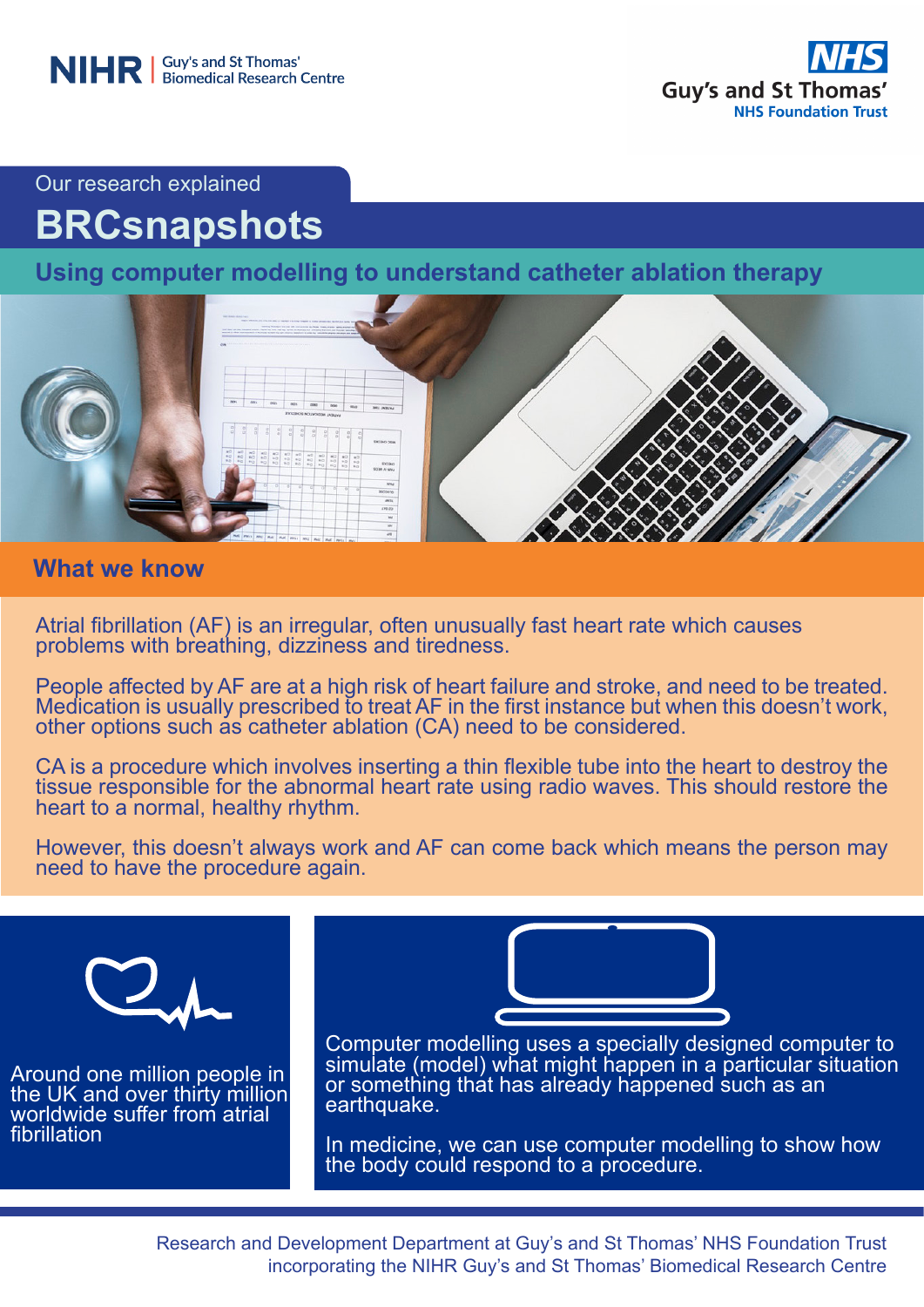

Our research explained

# **BRCsnapshots**

**Using computer modelling to understand catheter ablation therapy**



## **What we know**

Atrial fibrillation (AF) is an irregular, often unusually fast heart rate which causes problems with breathing, dizziness and tiredness.

People affected by AF are at a high risk of heart failure and stroke, and need to be treated. Medication is usually prescribed to treat AF in the first instance but when this doesn't work, other options such as catheter ablation (CA) need to be considered.

CA is a procedure which involves inserting a thin flexible tube into the heart to destroy the tissue responsible for the abnormal heart rate using radio waves. This should restore the heart to a normal, healthy rhythm.

However, this doesn't always work and AF can come back which means the person may need to have the procedure again.



Around one million people in the UK and over thirty million worldwide suffer from atrial fibrillation



Computer modelling uses a specially designed computer to simulate (model) what might happen in a particular situation or something that has already happened such as an earthquake.

In medicine, we can use computer modelling to show how the body could respond to a procedure.